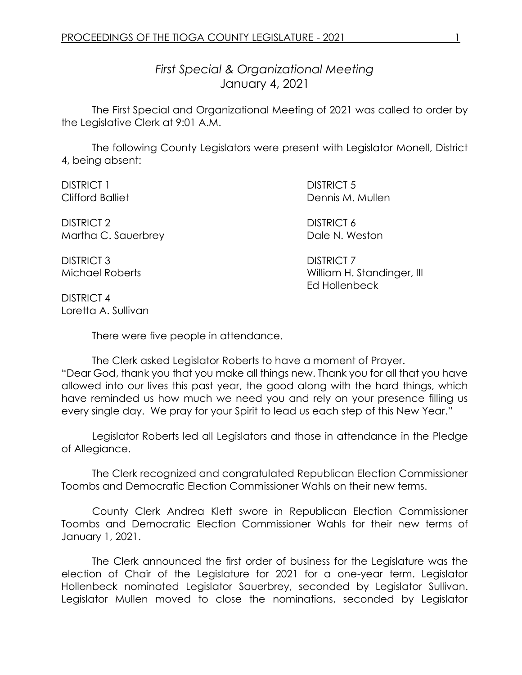*First Special & Organizational Meeting* January 4, 2021

The First Special and Organizational Meeting of 2021 was called to order by the Legislative Clerk at 9:01 A.M.

The following County Legislators were present with Legislator Monell, District 4, being absent:

| <b>DISTRICT 1</b>       | <b>DISTRICT 5</b>          |
|-------------------------|----------------------------|
| <b>Clifford Balliet</b> | Dennis M. Mullen           |
| DISTRICT 2              | <b>DISTRICT 6</b>          |
| Martha C. Sauerbrey     | Dale N. Weston             |
| <b>DISTRICT 3</b>       | <b>DISTRICT 7</b>          |
| Michael Roberts         | William H. Standinger, III |

DISTRICT 4 Loretta A. Sullivan

There were five people in attendance.

The Clerk asked Legislator Roberts to have a moment of Prayer. "Dear God, thank you that you make all things new. Thank you for all that you have allowed into our lives this past year, the good along with the hard things, which have reminded us how much we need you and rely on your presence filling us every single day. We pray for your Spirit to lead us each step of this New Year."

Ed Hollenbeck

Legislator Roberts led all Legislators and those in attendance in the Pledge of Allegiance.

The Clerk recognized and congratulated Republican Election Commissioner Toombs and Democratic Election Commissioner Wahls on their new terms.

County Clerk Andrea Klett swore in Republican Election Commissioner Toombs and Democratic Election Commissioner Wahls for their new terms of January 1, 2021.

The Clerk announced the first order of business for the Legislature was the election of Chair of the Legislature for 2021 for a one-year term. Legislator Hollenbeck nominated Legislator Sauerbrey, seconded by Legislator Sullivan. Legislator Mullen moved to close the nominations, seconded by Legislator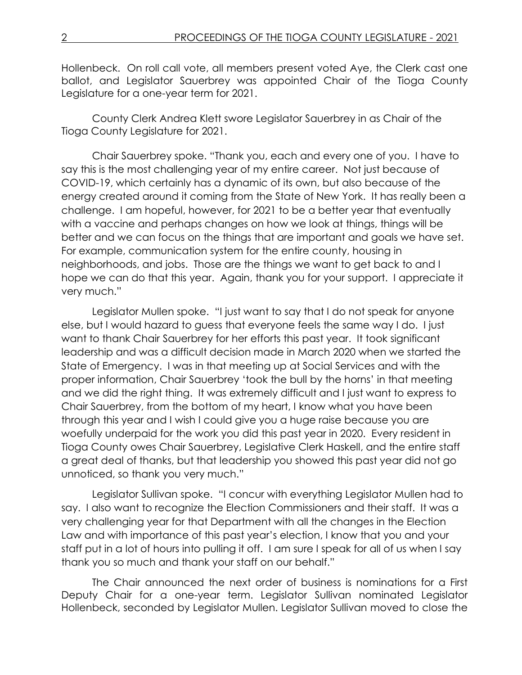Hollenbeck. On roll call vote, all members present voted Aye, the Clerk cast one ballot, and Legislator Sauerbrey was appointed Chair of the Tioga County Legislature for a one-year term for 2021.

County Clerk Andrea Klett swore Legislator Sauerbrey in as Chair of the Tioga County Legislature for 2021.

Chair Sauerbrey spoke. "Thank you, each and every one of you. I have to say this is the most challenging year of my entire career. Not just because of COVID-19, which certainly has a dynamic of its own, but also because of the energy created around it coming from the State of New York. It has really been a challenge. I am hopeful, however, for 2021 to be a better year that eventually with a vaccine and perhaps changes on how we look at things, things will be better and we can focus on the things that are important and goals we have set. For example, communication system for the entire county, housing in neighborhoods, and jobs. Those are the things we want to get back to and I hope we can do that this year. Again, thank you for your support. I appreciate it very much."

Legislator Mullen spoke. "I just want to say that I do not speak for anyone else, but I would hazard to guess that everyone feels the same way I do. I just want to thank Chair Sauerbrey for her efforts this past year. It took significant leadership and was a difficult decision made in March 2020 when we started the State of Emergency. I was in that meeting up at Social Services and with the proper information, Chair Sauerbrey 'took the bull by the horns' in that meeting and we did the right thing. It was extremely difficult and I just want to express to Chair Sauerbrey, from the bottom of my heart, I know what you have been through this year and I wish I could give you a huge raise because you are woefully underpaid for the work you did this past year in 2020. Every resident in Tioga County owes Chair Sauerbrey, Legislative Clerk Haskell, and the entire staff a great deal of thanks, but that leadership you showed this past year did not go unnoticed, so thank you very much."

Legislator Sullivan spoke. "I concur with everything Legislator Mullen had to say. I also want to recognize the Election Commissioners and their staff. It was a very challenging year for that Department with all the changes in the Election Law and with importance of this past year's election, I know that you and your staff put in a lot of hours into pulling it off. I am sure I speak for all of us when I say thank you so much and thank your staff on our behalf."

The Chair announced the next order of business is nominations for a First Deputy Chair for a one-year term. Legislator Sullivan nominated Legislator Hollenbeck, seconded by Legislator Mullen. Legislator Sullivan moved to close the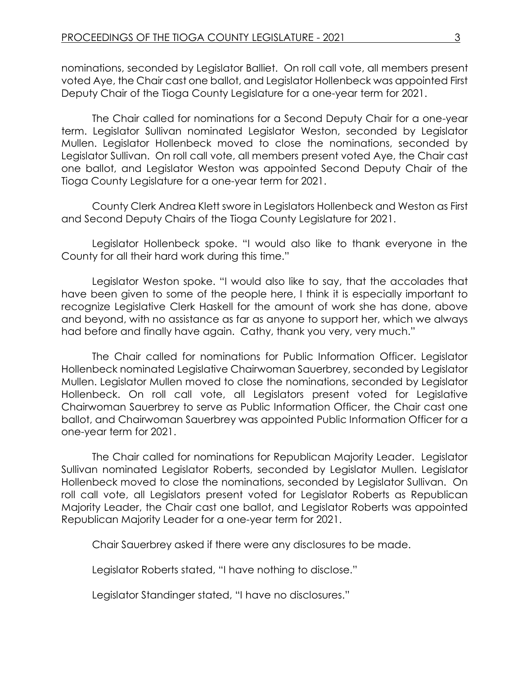nominations, seconded by Legislator Balliet. On roll call vote, all members present voted Aye, the Chair cast one ballot, and Legislator Hollenbeck was appointed First Deputy Chair of the Tioga County Legislature for a one-year term for 2021.

The Chair called for nominations for a Second Deputy Chair for a one-year term. Legislator Sullivan nominated Legislator Weston, seconded by Legislator Mullen. Legislator Hollenbeck moved to close the nominations, seconded by Legislator Sullivan. On roll call vote, all members present voted Aye, the Chair cast one ballot, and Legislator Weston was appointed Second Deputy Chair of the Tioga County Legislature for a one-year term for 2021.

County Clerk Andrea Klett swore in Legislators Hollenbeck and Weston as First and Second Deputy Chairs of the Tioga County Legislature for 2021.

Legislator Hollenbeck spoke. "I would also like to thank everyone in the County for all their hard work during this time."

Legislator Weston spoke. "I would also like to say, that the accolades that have been given to some of the people here, I think it is especially important to recognize Legislative Clerk Haskell for the amount of work she has done, above and beyond, with no assistance as far as anyone to support her, which we always had before and finally have again. Cathy, thank you very, very much."

The Chair called for nominations for Public Information Officer. Legislator Hollenbeck nominated Legislative Chairwoman Sauerbrey, seconded by Legislator Mullen. Legislator Mullen moved to close the nominations, seconded by Legislator Hollenbeck. On roll call vote, all Legislators present voted for Legislative Chairwoman Sauerbrey to serve as Public Information Officer, the Chair cast one ballot, and Chairwoman Sauerbrey was appointed Public Information Officer for a one-year term for 2021.

The Chair called for nominations for Republican Majority Leader. Legislator Sullivan nominated Legislator Roberts, seconded by Legislator Mullen. Legislator Hollenbeck moved to close the nominations, seconded by Legislator Sullivan. On roll call vote, all Legislators present voted for Legislator Roberts as Republican Majority Leader, the Chair cast one ballot, and Legislator Roberts was appointed Republican Majority Leader for a one-year term for 2021.

Chair Sauerbrey asked if there were any disclosures to be made.

Legislator Roberts stated, "I have nothing to disclose."

Legislator Standinger stated, "I have no disclosures."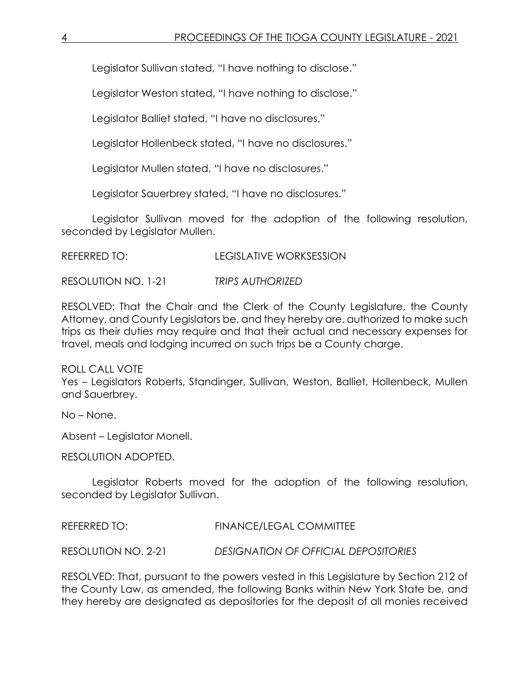Legislator Sullivan stated, "I have nothing to disclose."

Legislator Weston stated, "I have nothing to disclose."

Legislator Balliet stated, "I have no disclosures."

Legislator Hollenbeck stated, "I have no disclosures."

Legislator Mullen stated, "I have no disclosures."

Legislator Sauerbrey stated, "I have no disclosures."

Legislator Sullivan moved for the adoption of the following resolution, seconded by Legislator Mullen.

REFERRED TO: LEGISLATIVE WORKSESSION

RESOLUTION NO. 1-21 *TRIPS AUTHORIZED*

RESOLVED: That the Chair and the Clerk of the County Legislature, the County Attorney, and County Legislators be, and they hereby are, authorized to make such trips as their duties may require and that their actual and necessary expenses for travel, meals and lodging incurred on such trips be a County charge.

ROLL CALL VOTE Yes – Legislators Roberts, Standinger, Sullivan, Weston, Balliet, Hollenbeck, Mullen and Sauerbrey.

No – None.

Absent – Legislator Monell.

RESOLUTION ADOPTED.

Legislator Roberts moved for the adoption of the following resolution, seconded by Legislator Sullivan.

REFERRED TO: FINANCE/LEGAL COMMITTEE

RESOLUTION NO. 2-21 *DESIGNATION OF OFFICIAL DEPOSITORIES*

RESOLVED: That, pursuant to the powers vested in this Legislature by Section 212 of the County Law, as amended, the following Banks within New York State be, and they hereby are designated as depositories for the deposit of all monies received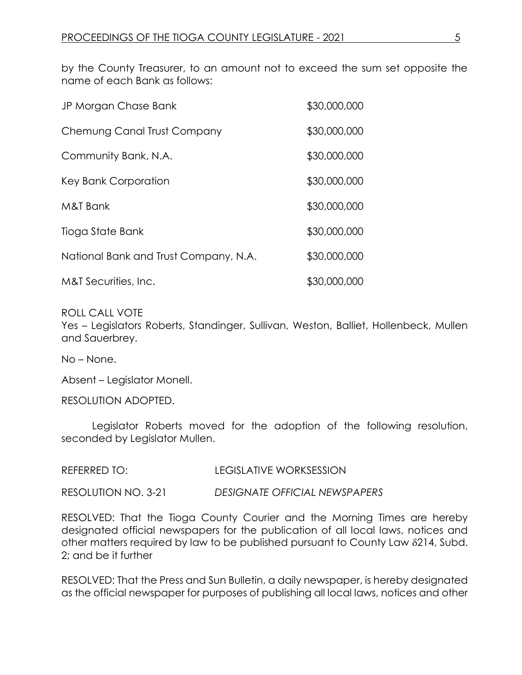by the County Treasurer, to an amount not to exceed the sum set opposite the name of each Bank as follows:

| JP Morgan Chase Bank                  | \$30,000,000 |
|---------------------------------------|--------------|
| Chemung Canal Trust Company           | \$30,000,000 |
| Community Bank, N.A.                  | \$30,000,000 |
| Key Bank Corporation                  | \$30,000,000 |
| M&T Bank                              | \$30,000,000 |
| Tioga State Bank                      | \$30,000,000 |
| National Bank and Trust Company, N.A. | \$30,000,000 |
| M&T Securities, Inc.                  | \$30,000,000 |

ROLL CALL VOTE

Yes – Legislators Roberts, Standinger, Sullivan, Weston, Balliet, Hollenbeck, Mullen and Sauerbrey.

No – None.

Absent – Legislator Monell.

RESOLUTION ADOPTED.

Legislator Roberts moved for the adoption of the following resolution, seconded by Legislator Mullen.

REFERRED TO: LEGISLATIVE WORKSESSION

RESOLUTION NO. 3-21 *DESIGNATE OFFICIAL NEWSPAPERS*

RESOLVED: That the Tioga County Courier and the Morning Times are hereby designated official newspapers for the publication of all local laws, notices and other matters required by law to be published pursuant to County Law 8214, Subd. 2; and be it further

RESOLVED: That the Press and Sun Bulletin, a daily newspaper, is hereby designated as the official newspaper for purposes of publishing all local laws, notices and other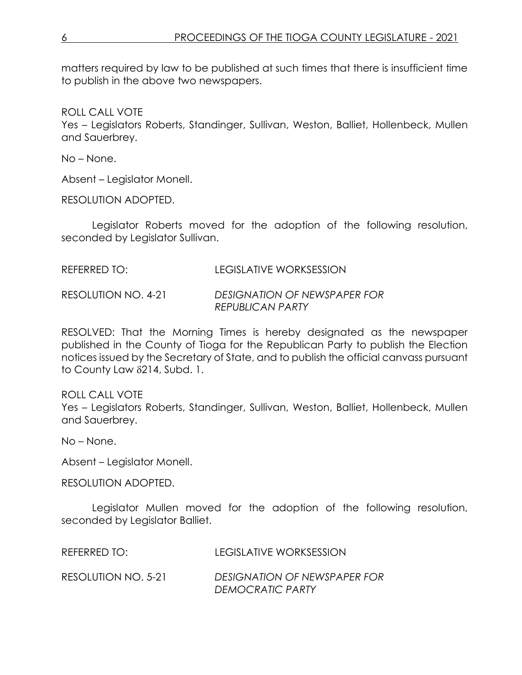matters required by law to be published at such times that there is insufficient time to publish in the above two newspapers.

ROLL CALL VOTE Yes – Legislators Roberts, Standinger, Sullivan, Weston, Balliet, Hollenbeck, Mullen and Sauerbrey.

No – None.

Absent – Legislator Monell.

RESOLUTION ADOPTED.

Legislator Roberts moved for the adoption of the following resolution, seconded by Legislator Sullivan.

| REFERRED TO: | LEGISLATIVE WORKSESSION |  |
|--------------|-------------------------|--|
|              |                         |  |

RESOLUTION NO. 4-21 *DESIGNATION OF NEWSPAPER FOR REPUBLICAN PARTY*

RESOLVED: That the Morning Times is hereby designated as the newspaper published in the County of Tioga for the Republican Party to publish the Election notices issued by the Secretary of State, and to publish the official canvass pursuant to County Law  $\delta$ 214, Subd. 1.

ROLL CALL VOTE Yes – Legislators Roberts, Standinger, Sullivan, Weston, Balliet, Hollenbeck, Mullen and Sauerbrey.

No – None.

Absent – Legislator Monell.

RESOLUTION ADOPTED.

Legislator Mullen moved for the adoption of the following resolution, seconded by Legislator Balliet.

REFERRED TO: LEGISLATIVE WORKSESSION

RESOLUTION NO. 5-21 *DESIGNATION OF NEWSPAPER FOR DEMOCRATIC PARTY*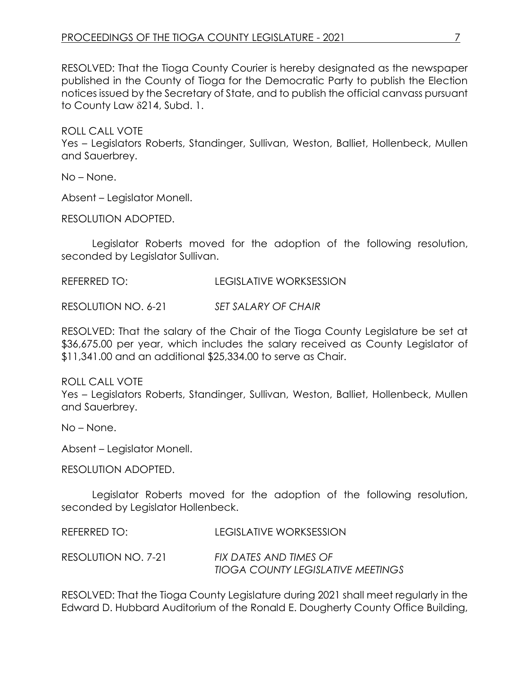RESOLVED: That the Tioga County Courier is hereby designated as the newspaper published in the County of Tioga for the Democratic Party to publish the Election notices issued by the Secretary of State, and to publish the official canvass pursuant to County Law  $\delta$ 214, Subd. 1.

ROLL CALL VOTE Yes – Legislators Roberts, Standinger, Sullivan, Weston, Balliet, Hollenbeck, Mullen and Sauerbrey.

No – None.

Absent – Legislator Monell.

RESOLUTION ADOPTED.

Legislator Roberts moved for the adoption of the following resolution, seconded by Legislator Sullivan.

REFERRED TO: LEGISLATIVE WORKSESSION

RESOLUTION NO. 6-21 *SET SALARY OF CHAIR*

RESOLVED: That the salary of the Chair of the Tioga County Legislature be set at \$36,675.00 per year, which includes the salary received as County Legislator of \$11,341.00 and an additional \$25,334.00 to serve as Chair.

ROLL CALL VOTE Yes – Legislators Roberts, Standinger, Sullivan, Weston, Balliet, Hollenbeck, Mullen and Sauerbrey.

No – None.

Absent – Legislator Monell.

RESOLUTION ADOPTED.

Legislator Roberts moved for the adoption of the following resolution, seconded by Legislator Hollenbeck.

REFERRED TO: LEGISLATIVE WORKSESSION

RESOLUTION NO. 7-21 *FIX DATES AND TIMES OF TIOGA COUNTY LEGISLATIVE MEETINGS*

RESOLVED: That the Tioga County Legislature during 2021 shall meet regularly in the Edward D. Hubbard Auditorium of the Ronald E. Dougherty County Office Building,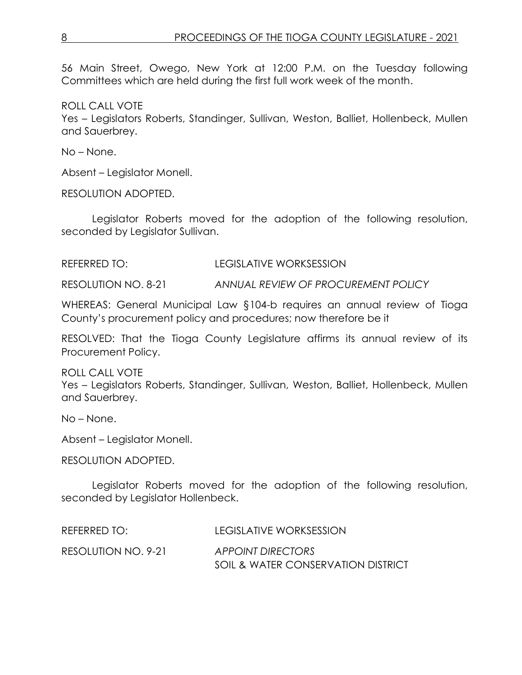56 Main Street, Owego, New York at 12:00 P.M. on the Tuesday following Committees which are held during the first full work week of the month.

ROLL CALL VOTE Yes – Legislators Roberts, Standinger, Sullivan, Weston, Balliet, Hollenbeck, Mullen and Sauerbrey.

No – None.

Absent – Legislator Monell.

RESOLUTION ADOPTED.

Legislator Roberts moved for the adoption of the following resolution, seconded by Legislator Sullivan.

REFERRED TO: LEGISLATIVE WORKSESSION

RESOLUTION NO. 8-21 *ANNUAL REVIEW OF PROCUREMENT POLICY*

WHEREAS: General Municipal Law §104-b requires an annual review of Tioga County's procurement policy and procedures; now therefore be it

RESOLVED: That the Tioga County Legislature affirms its annual review of its Procurement Policy.

ROLL CALL VOTE Yes – Legislators Roberts, Standinger, Sullivan, Weston, Balliet, Hollenbeck, Mullen and Sauerbrey.

No – None.

Absent – Legislator Monell.

RESOLUTION ADOPTED.

Legislator Roberts moved for the adoption of the following resolution, seconded by Legislator Hollenbeck.

| REFERRED TO:        | LEGISLATIVE WORKSESSION            |
|---------------------|------------------------------------|
| RESOLUTION NO. 9-21 | <b>APPOINT DIRECTORS</b>           |
|                     | SOIL & WATER CONSERVATION DISTRICT |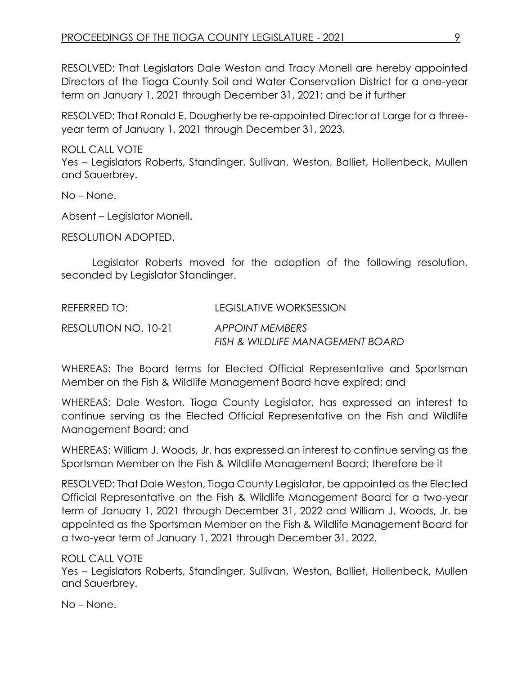RESOLVED: That Legislators Dale Weston and Tracy Monell are hereby appointed Directors of the Tioga County Soil and Water Conservation District for a one-year term on January 1, 2021 through December 31, 2021; and be it further

RESOLVED: That Ronald E. Dougherty be re-appointed Director at Large for a threeyear term of January 1, 2021 through December 31, 2023.

ROLL CALL VOTE Yes – Legislators Roberts, Standinger, Sullivan, Weston, Balliet, Hollenbeck, Mullen and Sauerbrey.

No – None.

Absent – Legislator Monell.

RESOLUTION ADOPTED.

Legislator Roberts moved for the adoption of the following resolution, seconded by Legislator Standinger.

| REFERRED TO:         | LEGISLATIVE WORKSESSION          |
|----------------------|----------------------------------|
| RESOLUTION NO. 10-21 | <b>APPOINT MEMBERS</b>           |
|                      | FISH & WILDLIFE MANAGEMENT BOARD |

WHEREAS: The Board terms for Elected Official Representative and Sportsman Member on the Fish & Wildlife Management Board have expired; and

WHEREAS: Dale Weston, Tioga County Legislator, has expressed an interest to continue serving as the Elected Official Representative on the Fish and Wildlife Management Board; and

WHEREAS: William J. Woods, Jr. has expressed an interest to continue serving as the Sportsman Member on the Fish & Wildlife Management Board; therefore be it

RESOLVED: That Dale Weston, Tioga County Legislator, be appointed as the Elected Official Representative on the Fish & Wildlife Management Board for a two-year term of January 1, 2021 through December 31, 2022 and William J. Woods, Jr. be appointed as the Sportsman Member on the Fish & Wildlife Management Board for a two-year term of January 1, 2021 through December 31, 2022.

## ROLL CALL VOTE

Yes – Legislators Roberts, Standinger, Sullivan, Weston, Balliet, Hollenbeck, Mullen and Sauerbrey.

No – None.